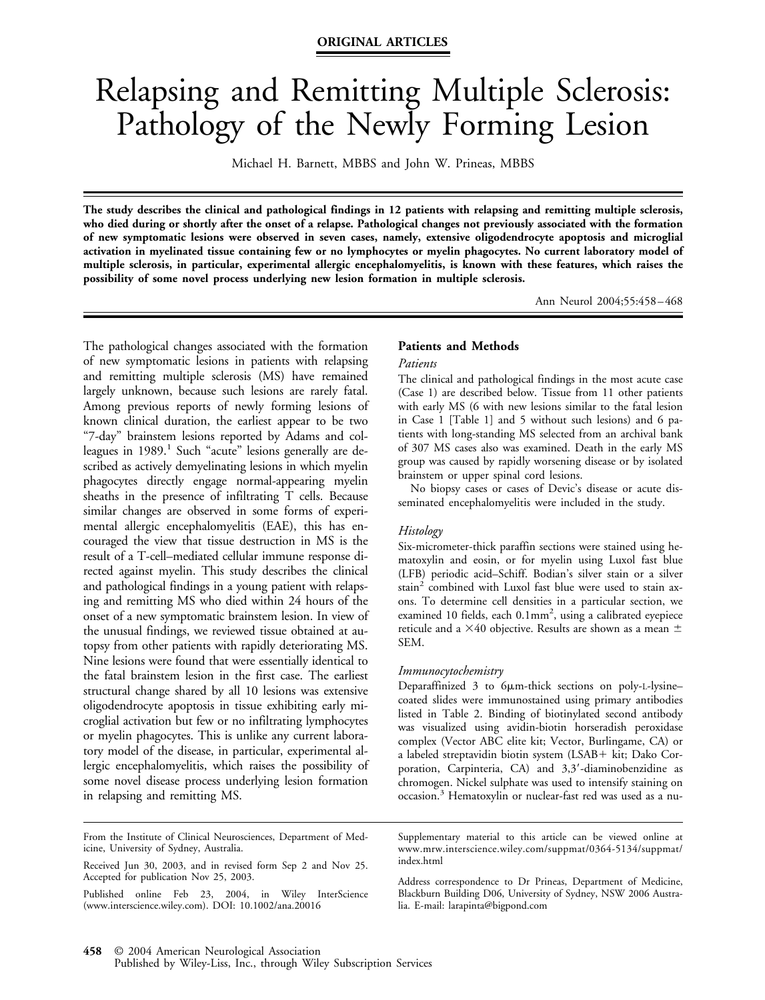# Relapsing and Remitting Multiple Sclerosis: Pathology of the Newly Forming Lesion

Michael H. Barnett, MBBS and John W. Prineas, MBBS

**The study describes the clinical and pathological findings in 12 patients with relapsing and remitting multiple sclerosis, who died during or shortly after the onset of a relapse. Pathological changes not previously associated with the formation of new symptomatic lesions were observed in seven cases, namely, extensive oligodendrocyte apoptosis and microglial activation in myelinated tissue containing few or no lymphocytes or myelin phagocytes. No current laboratory model of multiple sclerosis, in particular, experimental allergic encephalomyelitis, is known with these features, which raises the possibility of some novel process underlying new lesion formation in multiple sclerosis.**

Ann Neurol 2004;55:458 – 468

The pathological changes associated with the formation of new symptomatic lesions in patients with relapsing and remitting multiple sclerosis (MS) have remained largely unknown, because such lesions are rarely fatal. Among previous reports of newly forming lesions of known clinical duration, the earliest appear to be two "7-day" brainstem lesions reported by Adams and colleagues in  $1989$ .<sup>1</sup> Such "acute" lesions generally are described as actively demyelinating lesions in which myelin phagocytes directly engage normal-appearing myelin sheaths in the presence of infiltrating T cells. Because similar changes are observed in some forms of experimental allergic encephalomyelitis (EAE), this has encouraged the view that tissue destruction in MS is the result of a T-cell–mediated cellular immune response directed against myelin. This study describes the clinical and pathological findings in a young patient with relapsing and remitting MS who died within 24 hours of the onset of a new symptomatic brainstem lesion. In view of the unusual findings, we reviewed tissue obtained at autopsy from other patients with rapidly deteriorating MS. Nine lesions were found that were essentially identical to the fatal brainstem lesion in the first case. The earliest structural change shared by all 10 lesions was extensive oligodendrocyte apoptosis in tissue exhibiting early microglial activation but few or no infiltrating lymphocytes or myelin phagocytes. This is unlike any current laboratory model of the disease, in particular, experimental allergic encephalomyelitis, which raises the possibility of some novel disease process underlying lesion formation in relapsing and remitting MS.

### **Patients and Methods**

#### *Patients*

The clinical and pathological findings in the most acute case (Case 1) are described below. Tissue from 11 other patients with early MS (6 with new lesions similar to the fatal lesion in Case 1 [Table 1] and 5 without such lesions) and 6 patients with long-standing MS selected from an archival bank of 307 MS cases also was examined. Death in the early MS group was caused by rapidly worsening disease or by isolated brainstem or upper spinal cord lesions.

No biopsy cases or cases of Devic's disease or acute disseminated encephalomyelitis were included in the study.

#### *Histology*

Six-micrometer-thick paraffin sections were stained using hematoxylin and eosin, or for myelin using Luxol fast blue (LFB) periodic acid–Schiff. Bodian's silver stain or a silver stain<sup>2</sup> combined with Luxol fast blue were used to stain axons. To determine cell densities in a particular section, we examined 10 fields, each  $0.1$ mm<sup>2</sup>, using a calibrated eyepiece reticule and a  $\times 40$  objective. Results are shown as a mean  $\pm$ SEM.

#### *Immunocytochemistry*

Deparaffinized 3 to 6um-thick sections on poly-L-lysine– coated slides were immunostained using primary antibodies listed in Table 2. Binding of biotinylated second antibody was visualized using avidin-biotin horseradish peroxidase complex (Vector ABC elite kit; Vector, Burlingame, CA) or a labeled streptavidin biotin system (LSAB+ kit; Dako Corporation, Carpinteria, CA) and 3,3-diaminobenzidine as chromogen. Nickel sulphate was used to intensify staining on occasion.3 Hematoxylin or nuclear-fast red was used as a nu-

From the Institute of Clinical Neurosciences, Department of Medicine, University of Sydney, Australia.

Supplementary material to this article can be viewed online at www.mrw.interscience.wiley.com/suppmat/0364-5134/suppmat/ index.html

Address correspondence to Dr Prineas, Department of Medicine, Blackburn Building D06, University of Sydney, NSW 2006 Australia. E-mail: larapinta@bigpond.com

Received Jun 30, 2003, and in revised form Sep 2 and Nov 25. Accepted for publication Nov 25, 2003.

Published online Feb 23, 2004, in Wiley InterScience (www.interscience.wiley.com). DOI: 10.1002/ana.20016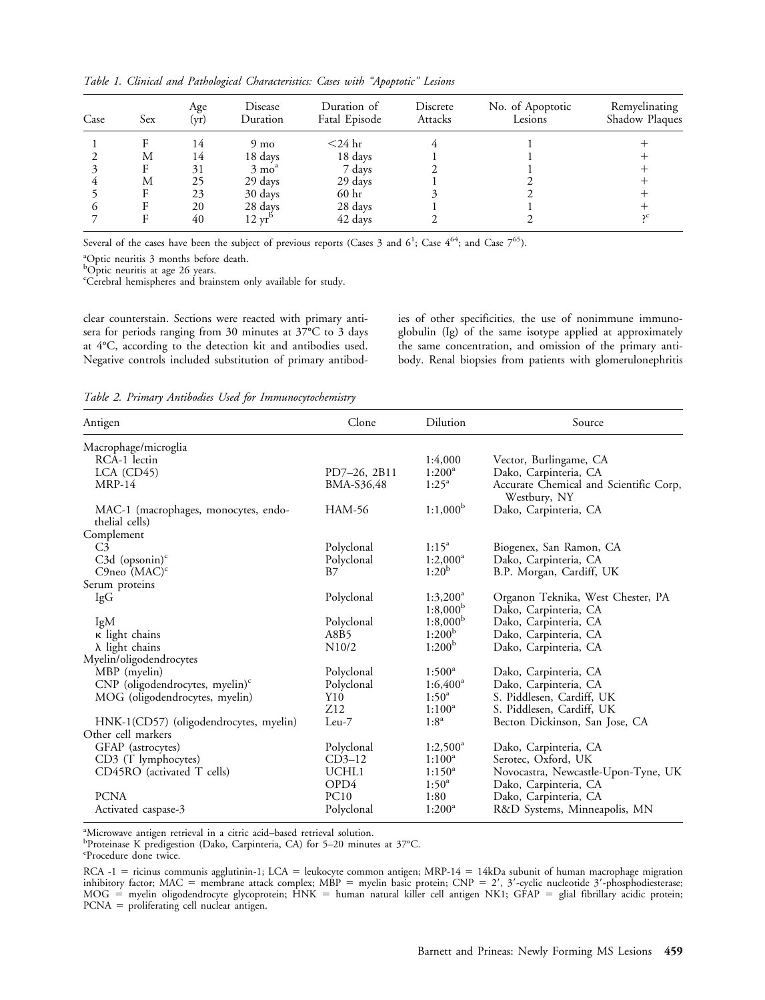| Case | Sex | Age<br>(yr) | Disease<br>Duration       | Duration of<br>Fatal Episode | Discrete<br>Attacks | No. of Apoptotic<br>Lesions | Remyelinating<br>Shadow Plaques |
|------|-----|-------------|---------------------------|------------------------------|---------------------|-----------------------------|---------------------------------|
|      |     | 14          | 9 <sub>mo</sub>           | $<$ 24 hr                    |                     |                             |                                 |
|      | М   | 14          | 18 days                   | 18 days                      |                     |                             |                                 |
|      |     | 31          | $3 \text{ mo}^{\text{a}}$ | 7 days                       |                     |                             |                                 |
|      | М   | 25          | 29 days                   | 29 days                      |                     |                             |                                 |
|      |     | 23          | 30 days                   | 60 hr                        |                     |                             |                                 |
|      |     | 20          | 28 days                   | 28 days                      |                     |                             |                                 |
|      |     | 40          | $12 \text{ yr}^1$         | 42 days                      |                     |                             |                                 |

*Table 1. Clinical and Pathological Characteristics: Cases with "Apoptotic" Lesions*

Several of the cases have been the subject of previous reports (Cases 3 and  $6^1$ ; Case  $4^{64}$ ; and Case  $7^{65}$ ).

a Optic neuritis 3 months before death.

<sup>b</sup>Optic neuritis at age 26 years.

c Cerebral hemispheres and brainstem only available for study.

clear counterstain. Sections were reacted with primary antisera for periods ranging from 30 minutes at 37°C to 3 days at 4°C, according to the detection kit and antibodies used. Negative controls included substitution of primary antibodies of other specificities, the use of nonimmune immunoglobulin (Ig) of the same isotype applied at approximately the same concentration, and omission of the primary antibody. Renal biopsies from patients with glomerulonephritis

*Table 2. Primary Antibodies Used for Immunocytochemistry*

| Antigen                                                | Clone              | Dilution           | Source                                                 |
|--------------------------------------------------------|--------------------|--------------------|--------------------------------------------------------|
| Macrophage/microglia                                   |                    |                    |                                                        |
| RCA-1 lectin                                           |                    | 1:4,000            | Vector, Burlingame, CA                                 |
| $LCA$ (CD45)                                           | PD7-26, 2B11       | $1:200^a$          | Dako, Carpinteria, CA                                  |
| <b>MRP-14</b>                                          | BMA-S36,48         | $1:25^a$           | Accurate Chemical and Scientific Corp,<br>Westbury, NY |
| MAC-1 (macrophages, monocytes, endo-<br>thelial cells) | <b>HAM-56</b>      | $1:1,000^b$        | Dako, Carpinteria, CA                                  |
| Complement                                             |                    |                    |                                                        |
| C <sub>3</sub>                                         | Polyclonal         | $1:15^a$           | Biogenex, San Ramon, CA                                |
| $C3d$ (opsonin) <sup>c</sup>                           | Polyclonal         | $1:2,000^4$        | Dako, Carpinteria, CA                                  |
| C9neo $(MAC)^c$                                        | <b>B</b> 7         | $1:20^{b}$         | B.P. Morgan, Cardiff, UK                               |
| Serum proteins                                         |                    |                    |                                                        |
| IgG                                                    | Polyclonal         | $1:3,200^a$        | Organon Teknika, West Chester, PA                      |
|                                                        |                    | $1:8,000^{\rm b}$  | Dako, Carpinteria, CA                                  |
| IgM                                                    | Polyclonal         | $1:8,000^{\rm b}$  | Dako, Carpinteria, CA                                  |
| κ light chains                                         | A8B5               | $1:200^{\rm b}$    | Dako, Carpinteria, CA                                  |
| $\lambda$ light chains                                 | N10/2              | 1:200 <sup>b</sup> | Dako, Carpinteria, CA                                  |
| Myelin/oligodendrocytes                                |                    |                    |                                                        |
| MBP (myelin)                                           | Polyclonal         | $1:500^{\circ}$    | Dako, Carpinteria, CA                                  |
| CNP (oligodendrocytes, myelin) <sup>c</sup>            | Polyclonal         | $1:6,400^{\circ}$  | Dako, Carpinteria, CA                                  |
| MOG (oligodendrocytes, myelin)                         | Y10                | $1:50^a$           | S. Piddlesen, Cardiff, UK                              |
|                                                        | Z12                | $1:100^a$          | S. Piddlesen, Cardiff, UK                              |
| HNK-1(CD57) (oligodendrocytes, myelin)                 | $Leu-7$            | $1:8^a$            | Becton Dickinson, San Jose, CA                         |
| Other cell markers                                     |                    |                    |                                                        |
| GFAP (astrocytes)                                      | Polyclonal         | $1:2,500^{\circ}$  | Dako, Carpinteria, CA                                  |
| CD3 (T lymphocytes)                                    | CD <sub>3–12</sub> | $1:100^a$          | Serotec, Oxford, UK                                    |
| CD45RO (activated T cells)                             | UCHL1              | $1:150^a$          | Novocastra, Newcastle-Upon-Tyne, UK                    |
|                                                        | OPD4               | $1:50^{\circ}$     | Dako, Carpinteria, CA                                  |
| <b>PCNA</b>                                            | PC10               | 1:80               | Dako, Carpinteria, CA                                  |
| Activated caspase-3                                    | Polyclonal         | $1:200^a$          | R&D Systems, Minneapolis, MN                           |
|                                                        |                    |                    |                                                        |

<sup>a</sup>Microwave antigen retrieval in a citric acid-based retrieval solution.

b Proteinase K predigestion (Dako, Carpinteria, CA) for 5–20 minutes at 37°C.

c Procedure done twice.

 $RCA -1$  = ricinus communis agglutinin-1; LCA = leukocyte common antigen; MRP-14 = 14kDa subunit of human macrophage migration inhibitory factor; MAC = membrane attack complex; MBP = myelin basic protein; CNP = 2', 3'-cyclic nucleotide 3'-phosphodiesterase; MOG = myelin oligodendrocyte glycoprotein; HNK = human natural killer cell antigen NK1; GFAP = glial fibrillary acidic protein;  $PCNA$  = proliferating cell nuclear antigen.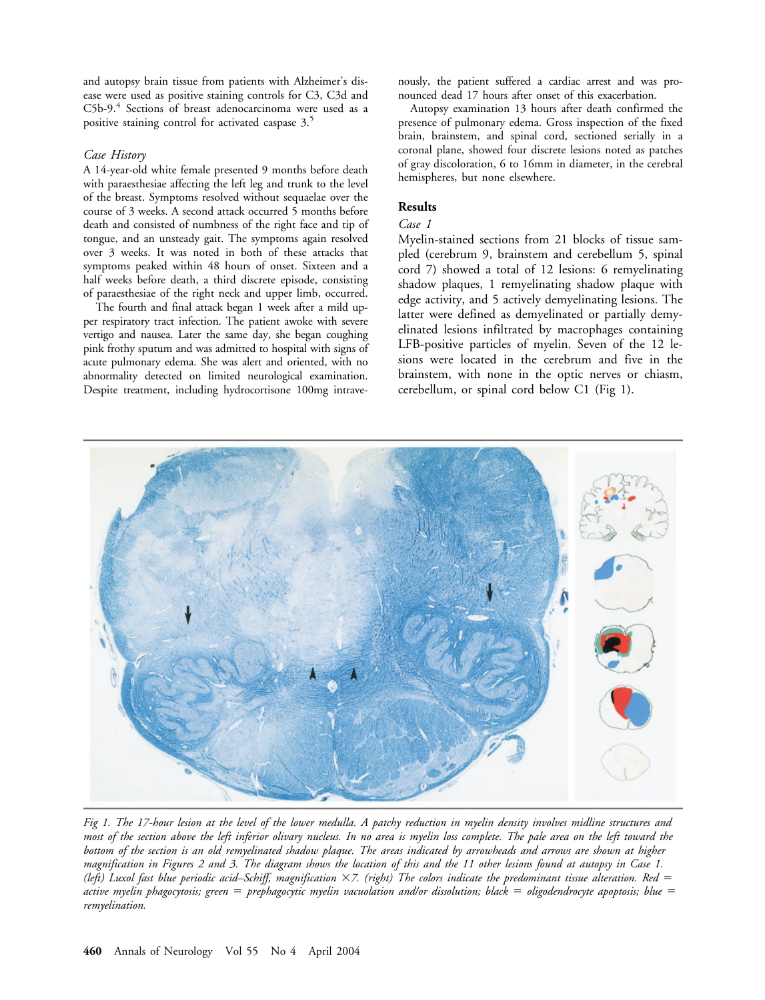and autopsy brain tissue from patients with Alzheimer's disease were used as positive staining controls for C3, C3d and C5b-9.<sup>4</sup> Sections of breast adenocarcinoma were used as a positive staining control for activated caspase 3.5

#### *Case History*

A 14-year-old white female presented 9 months before death with paraesthesiae affecting the left leg and trunk to the level of the breast. Symptoms resolved without sequaelae over the course of 3 weeks. A second attack occurred 5 months before death and consisted of numbness of the right face and tip of tongue, and an unsteady gait. The symptoms again resolved over 3 weeks. It was noted in both of these attacks that symptoms peaked within 48 hours of onset. Sixteen and a half weeks before death, a third discrete episode, consisting of paraesthesiae of the right neck and upper limb, occurred.

The fourth and final attack began 1 week after a mild upper respiratory tract infection. The patient awoke with severe vertigo and nausea. Later the same day, she began coughing pink frothy sputum and was admitted to hospital with signs of acute pulmonary edema. She was alert and oriented, with no abnormality detected on limited neurological examination. Despite treatment, including hydrocortisone 100mg intravenously, the patient suffered a cardiac arrest and was pronounced dead 17 hours after onset of this exacerbation.

Autopsy examination 13 hours after death confirmed the presence of pulmonary edema. Gross inspection of the fixed brain, brainstem, and spinal cord, sectioned serially in a coronal plane, showed four discrete lesions noted as patches of gray discoloration, 6 to 16mm in diameter, in the cerebral hemispheres, but none elsewhere.

## **Results**

#### *Case 1*

Myelin-stained sections from 21 blocks of tissue sampled (cerebrum 9, brainstem and cerebellum 5, spinal cord 7) showed a total of 12 lesions: 6 remyelinating shadow plaques, 1 remyelinating shadow plaque with edge activity, and 5 actively demyelinating lesions. The latter were defined as demyelinated or partially demyelinated lesions infiltrated by macrophages containing LFB-positive particles of myelin. Seven of the 12 lesions were located in the cerebrum and five in the brainstem, with none in the optic nerves or chiasm, cerebellum, or spinal cord below C1 (Fig 1).



*Fig 1. The 17-hour lesion at the level of the lower medulla. A patchy reduction in myelin density involves midline structures and most of the section above the left inferior olivary nucleus. In no area is myelin loss complete. The pale area on the left toward the bottom of the section is an old remyelinated shadow plaque. The areas indicated by arrowheads and arrows are shown at higher magnification in Figures 2 and 3. The diagram shows the location of this and the 11 other lesions found at autopsy in Case 1. (left) Luxol fast blue periodic acid–Schiff, magnification 7. (right) The colors indicate the predominant tissue alteration. Red active myelin phagocytosis; green prephagocytic myelin vacuolation and/or dissolution; black oligodendrocyte apoptosis; blue remyelination.*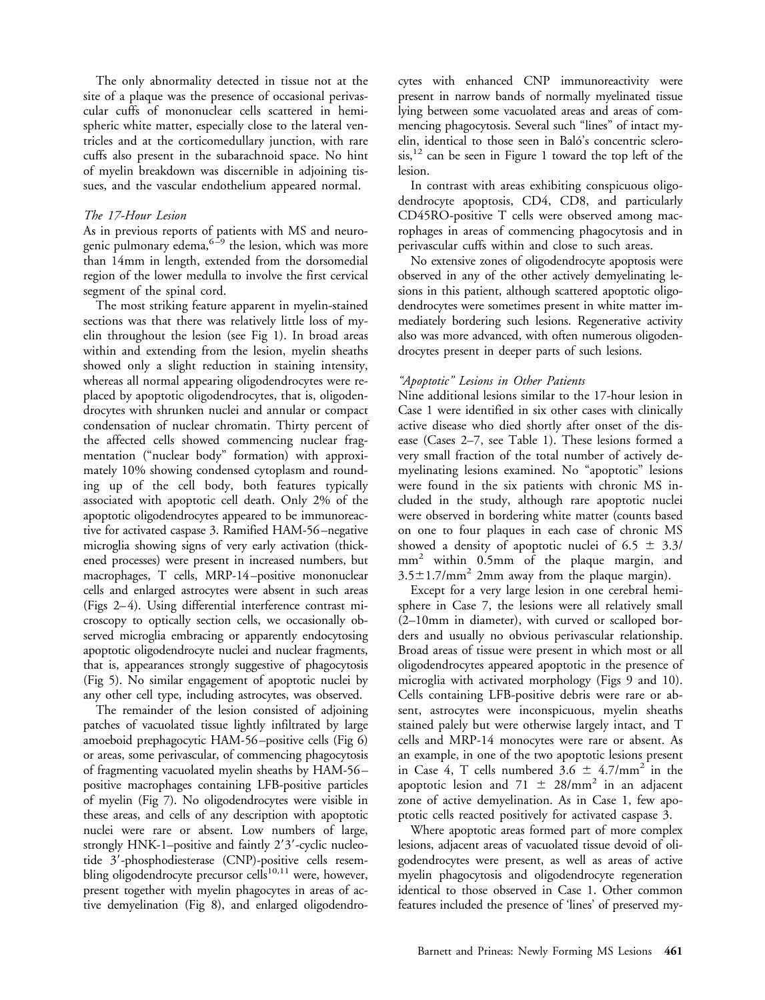The only abnormality detected in tissue not at the site of a plaque was the presence of occasional perivascular cuffs of mononuclear cells scattered in hemispheric white matter, especially close to the lateral ventricles and at the corticomedullary junction, with rare cuffs also present in the subarachnoid space. No hint of myelin breakdown was discernible in adjoining tissues, and the vascular endothelium appeared normal.

#### *The 17-Hour Lesion*

As in previous reports of patients with MS and neurogenic pulmonary edema,  $6\frac{1}{2}$  the lesion, which was more than 14mm in length, extended from the dorsomedial region of the lower medulla to involve the first cervical segment of the spinal cord.

The most striking feature apparent in myelin-stained sections was that there was relatively little loss of myelin throughout the lesion (see Fig 1). In broad areas within and extending from the lesion, myelin sheaths showed only a slight reduction in staining intensity, whereas all normal appearing oligodendrocytes were replaced by apoptotic oligodendrocytes, that is, oligodendrocytes with shrunken nuclei and annular or compact condensation of nuclear chromatin. Thirty percent of the affected cells showed commencing nuclear fragmentation ("nuclear body" formation) with approximately 10% showing condensed cytoplasm and rounding up of the cell body, both features typically associated with apoptotic cell death. Only 2% of the apoptotic oligodendrocytes appeared to be immunoreactive for activated caspase 3. Ramified HAM-56 –negative microglia showing signs of very early activation (thickened processes) were present in increased numbers, but macrophages, T cells, MRP-14 –positive mononuclear cells and enlarged astrocytes were absent in such areas (Figs 2– 4). Using differential interference contrast microscopy to optically section cells, we occasionally observed microglia embracing or apparently endocytosing apoptotic oligodendrocyte nuclei and nuclear fragments, that is, appearances strongly suggestive of phagocytosis (Fig 5). No similar engagement of apoptotic nuclei by any other cell type, including astrocytes, was observed.

The remainder of the lesion consisted of adjoining patches of vacuolated tissue lightly infiltrated by large amoeboid prephagocytic HAM-56 –positive cells (Fig 6) or areas, some perivascular, of commencing phagocytosis of fragmenting vacuolated myelin sheaths by HAM-56 – positive macrophages containing LFB-positive particles of myelin (Fig 7). No oligodendrocytes were visible in these areas, and cells of any description with apoptotic nuclei were rare or absent. Low numbers of large, strongly HNK-1–positive and faintly  $2'3'$ -cyclic nucleotide 3'-phosphodiesterase (CNP)-positive cells resembling oligodendrocyte precursor cells<sup>10,11</sup> were, however, present together with myelin phagocytes in areas of active demyelination (Fig 8), and enlarged oligodendrocytes with enhanced CNP immunoreactivity were present in narrow bands of normally myelinated tissue lying between some vacuolated areas and areas of commencing phagocytosis. Several such "lines" of intact myelin, identical to those seen in Baló's concentric sclero $sis$ ,<sup>12</sup> can be seen in Figure 1 toward the top left of the lesion.

In contrast with areas exhibiting conspicuous oligodendrocyte apoptosis, CD4, CD8, and particularly CD45RO-positive T cells were observed among macrophages in areas of commencing phagocytosis and in perivascular cuffs within and close to such areas.

No extensive zones of oligodendrocyte apoptosis were observed in any of the other actively demyelinating lesions in this patient, although scattered apoptotic oligodendrocytes were sometimes present in white matter immediately bordering such lesions. Regenerative activity also was more advanced, with often numerous oligodendrocytes present in deeper parts of such lesions.

## *"Apoptotic" Lesions in Other Patients*

Nine additional lesions similar to the 17-hour lesion in Case 1 were identified in six other cases with clinically active disease who died shortly after onset of the disease (Cases 2–7, see Table 1). These lesions formed a very small fraction of the total number of actively demyelinating lesions examined. No "apoptotic" lesions were found in the six patients with chronic MS included in the study, although rare apoptotic nuclei were observed in bordering white matter (counts based on one to four plaques in each case of chronic MS showed a density of apoptotic nuclei of 6.5  $\pm$  3.3/ mm2 within 0.5mm of the plaque margin, and  $3.5 \pm 1.7$ /mm<sup>2</sup> 2mm away from the plaque margin).

Except for a very large lesion in one cerebral hemisphere in Case 7, the lesions were all relatively small (2–10mm in diameter), with curved or scalloped borders and usually no obvious perivascular relationship. Broad areas of tissue were present in which most or all oligodendrocytes appeared apoptotic in the presence of microglia with activated morphology (Figs 9 and 10). Cells containing LFB-positive debris were rare or absent, astrocytes were inconspicuous, myelin sheaths stained palely but were otherwise largely intact, and T cells and MRP-14 monocytes were rare or absent. As an example, in one of the two apoptotic lesions present in Case 4, T cells numbered  $3.6 \pm 4.7/\text{mm}^2$  in the apoptotic lesion and  $71 \pm 28/\text{mm}^2$  in an adjacent zone of active demyelination. As in Case 1, few apoptotic cells reacted positively for activated caspase 3.

Where apoptotic areas formed part of more complex lesions, adjacent areas of vacuolated tissue devoid of oligodendrocytes were present, as well as areas of active myelin phagocytosis and oligodendrocyte regeneration identical to those observed in Case 1. Other common features included the presence of 'lines' of preserved my-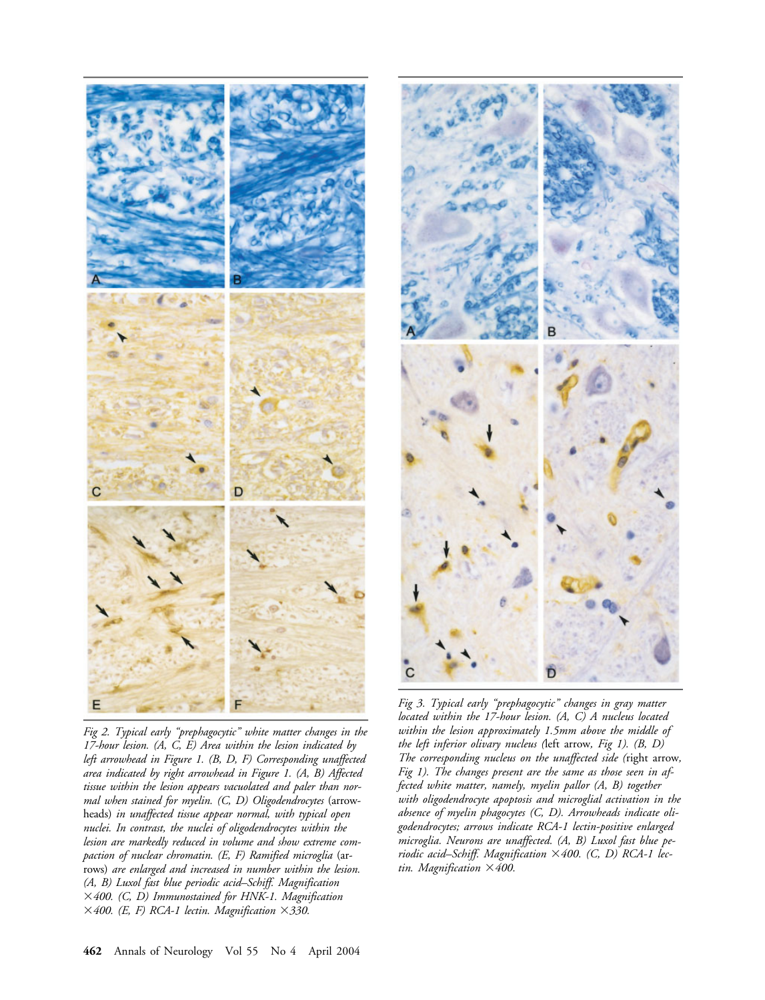

*Fig 2. Typical early "prephagocytic" white matter changes in the 17-hour lesion. (A, C, E) Area within the lesion indicated by left arrowhead in Figure 1. (B, D, F) Corresponding unaffected area indicated by right arrowhead in Figure 1. (A, B) Affected tissue within the lesion appears vacuolated and paler than normal when stained for myelin. (C, D) Oligodendrocytes* (arrowheads) *in unaffected tissue appear normal, with typical open nuclei. In contrast, the nuclei of oligodendrocytes within the lesion are markedly reduced in volume and show extreme compaction of nuclear chromatin. (E, F) Ramified microglia* (arrows) *are enlarged and increased in number within the lesion. (A, B) Luxol fast blue periodic acid–Schiff. Magnification 400. (C, D) Immunostained for HNK-1. Magnification*  $\times$  400. (E, F) RCA-1 lectin. Magnification  $\times$  330.



*Fig 3. Typical early "prephagocytic" changes in gray matter located within the 17-hour lesion. (A, C) A nucleus located within the lesion approximately 1.5mm above the middle of the left inferior olivary nucleus (*left arrow*, Fig 1). (B, D) The corresponding nucleus on the unaffected side (*right arrow*, Fig 1). The changes present are the same as those seen in affected white matter, namely, myelin pallor (A, B) together with oligodendrocyte apoptosis and microglial activation in the absence of myelin phagocytes (C, D). Arrowheads indicate oligodendrocytes; arrows indicate RCA-1 lectin-positive enlarged microglia. Neurons are unaffected. (A, B) Luxol fast blue periodic acid–Schiff. Magnification 400. (C, D) RCA-1 lectin. Magnification 400.*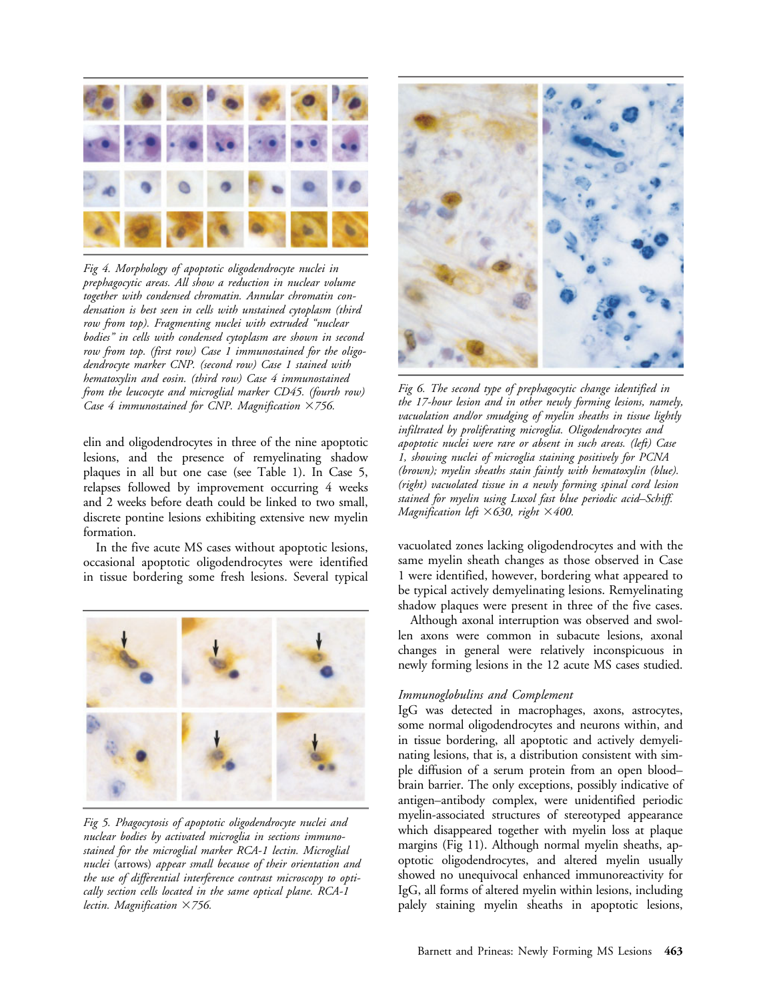

*Fig 4. Morphology of apoptotic oligodendrocyte nuclei in prephagocytic areas. All show a reduction in nuclear volume together with condensed chromatin. Annular chromatin condensation is best seen in cells with unstained cytoplasm (third row from top). Fragmenting nuclei with extruded "nuclear bodies" in cells with condensed cytoplasm are shown in second row from top. (first row) Case 1 immunostained for the oligodendrocyte marker CNP. (second row) Case 1 stained with hematoxylin and eosin. (third row) Case 4 immunostained from the leucocyte and microglial marker CD45. (fourth row) Case 4 immunostained for CNP. Magnification 756.*

elin and oligodendrocytes in three of the nine apoptotic lesions, and the presence of remyelinating shadow plaques in all but one case (see Table 1). In Case 5, relapses followed by improvement occurring 4 weeks and 2 weeks before death could be linked to two small, discrete pontine lesions exhibiting extensive new myelin formation.

In the five acute MS cases without apoptotic lesions, occasional apoptotic oligodendrocytes were identified in tissue bordering some fresh lesions. Several typical



*Fig 5. Phagocytosis of apoptotic oligodendrocyte nuclei and nuclear bodies by activated microglia in sections immunostained for the microglial marker RCA-1 lectin. Microglial nuclei* (arrows) *appear small because of their orientation and the use of differential interference contrast microscopy to optically section cells located in the same optical plane. RCA-1 lectin. Magnification 756.*



*Fig 6. The second type of prephagocytic change identified in the 17-hour lesion and in other newly forming lesions, namely, vacuolation and/or smudging of myelin sheaths in tissue lightly infiltrated by proliferating microglia. Oligodendrocytes and apoptotic nuclei were rare or absent in such areas. (left) Case 1, showing nuclei of microglia staining positively for PCNA (brown); myelin sheaths stain faintly with hematoxylin (blue). (right) vacuolated tissue in a newly forming spinal cord lesion stained for myelin using Luxol fast blue periodic acid–Schiff. Magnification left 630, right 400.*

vacuolated zones lacking oligodendrocytes and with the same myelin sheath changes as those observed in Case 1 were identified, however, bordering what appeared to be typical actively demyelinating lesions. Remyelinating shadow plaques were present in three of the five cases.

Although axonal interruption was observed and swollen axons were common in subacute lesions, axonal changes in general were relatively inconspicuous in newly forming lesions in the 12 acute MS cases studied.

## *Immunoglobulins and Complement*

IgG was detected in macrophages, axons, astrocytes, some normal oligodendrocytes and neurons within, and in tissue bordering, all apoptotic and actively demyelinating lesions, that is, a distribution consistent with simple diffusion of a serum protein from an open blood– brain barrier. The only exceptions, possibly indicative of antigen–antibody complex, were unidentified periodic myelin-associated structures of stereotyped appearance which disappeared together with myelin loss at plaque margins (Fig 11). Although normal myelin sheaths, apoptotic oligodendrocytes, and altered myelin usually showed no unequivocal enhanced immunoreactivity for IgG, all forms of altered myelin within lesions, including palely staining myelin sheaths in apoptotic lesions,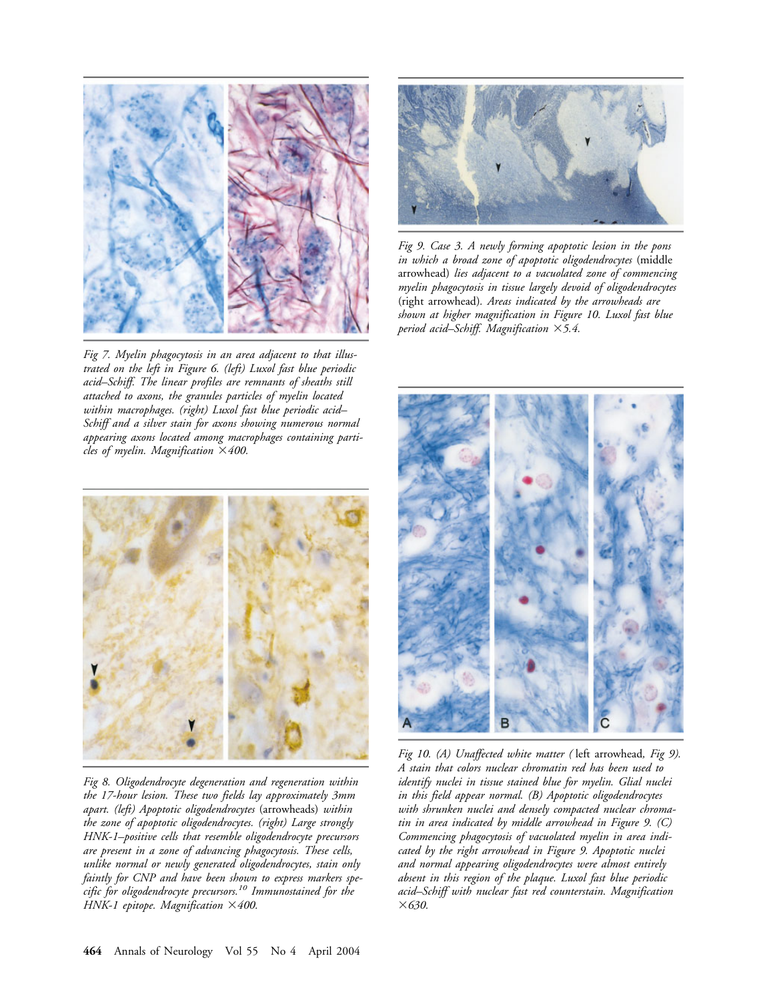

*Fig 7. Myelin phagocytosis in an area adjacent to that illustrated on the left in Figure 6. (left) Luxol fast blue periodic acid–Schiff. The linear profiles are remnants of sheaths still attached to axons, the granules particles of myelin located within macrophages. (right) Luxol fast blue periodic acid– Schiff and a silver stain for axons showing numerous normal appearing axons located among macrophages containing particles of myelin. Magnification 400.*



*Fig 8. Oligodendrocyte degeneration and regeneration within the 17-hour lesion. These two fields lay approximately 3mm apart. (left) Apoptotic oligodendrocytes* (arrowheads) *within the zone of apoptotic oligodendrocytes. (right) Large strongly HNK-1–positive cells that resemble oligodendrocyte precursors are present in a zone of advancing phagocytosis. These cells, unlike normal or newly generated oligodendrocytes, stain only faintly for CNP and have been shown to express markers specific for oligodendrocyte precursors.10 Immunostained for the HNK-1 epitope. Magnification 400.*



*Fig 9. Case 3. A newly forming apoptotic lesion in the pons in which a broad zone of apoptotic oligodendrocytes* (middle arrowhead) *lies adjacent to a vacuolated zone of commencing myelin phagocytosis in tissue largely devoid of oligodendrocytes* (right arrowhead)*. Areas indicated by the arrowheads are shown at higher magnification in Figure 10. Luxol fast blue period acid–Schiff. Magnification 5.4.*



*Fig 10. (A) Unaffected white matter (* left arrowhead*, Fig 9). A stain that colors nuclear chromatin red has been used to identify nuclei in tissue stained blue for myelin. Glial nuclei in this field appear normal. (B) Apoptotic oligodendrocytes with shrunken nuclei and densely compacted nuclear chromatin in area indicated by middle arrowhead in Figure 9. (C) Commencing phagocytosis of vacuolated myelin in area indicated by the right arrowhead in Figure 9. Apoptotic nuclei and normal appearing oligodendrocytes were almost entirely absent in this region of the plaque. Luxol fast blue periodic acid–Schiff with nuclear fast red counterstain. Magnification 630.*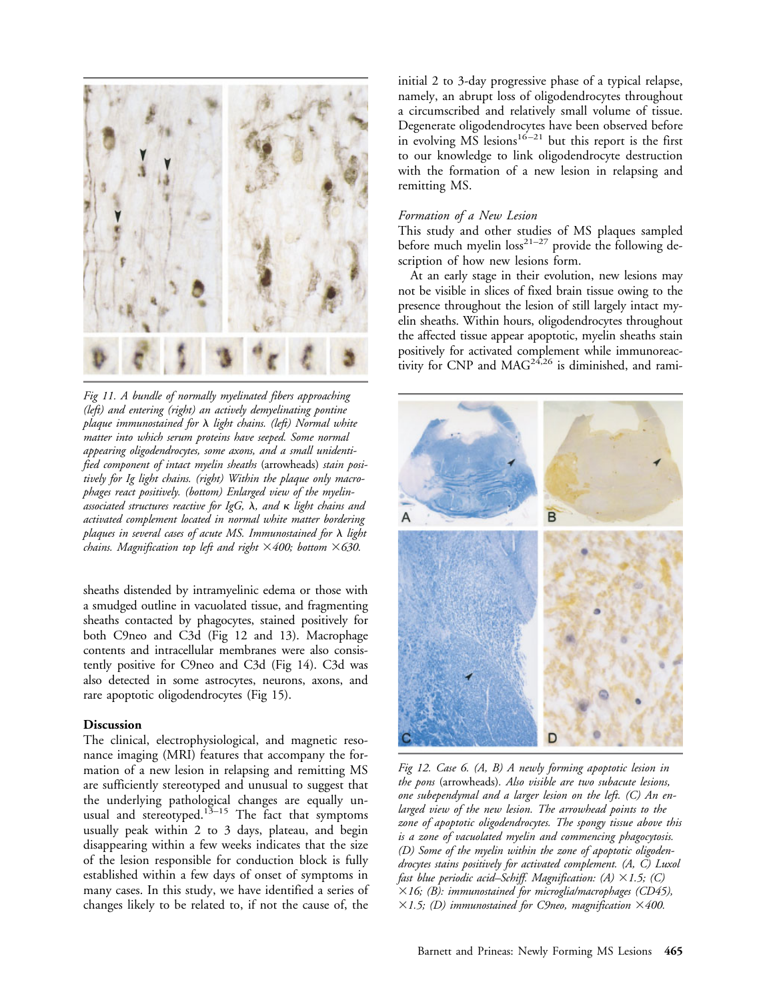

*Fig 11. A bundle of normally myelinated fibers approaching (left) and entering (right) an actively demyelinating pontine plaque immunostained for light chains. (left) Normal white matter into which serum proteins have seeped. Some normal appearing oligodendrocytes, some axons, and a small unidentified component of intact myelin sheaths* (arrowheads) *stain positively for Ig light chains. (right) Within the plaque only macrophages react positively. (bottom) Enlarged view of the myelin*associated structures reactive for IgG,  $\lambda$ , and  $\kappa$  light chains and *activated complement located in normal white matter bordering plaques in several cases of acute MS. Immunostained for light chains. Magnification top left and right*  $\times$  400; bottom  $\times$  630.

sheaths distended by intramyelinic edema or those with a smudged outline in vacuolated tissue, and fragmenting sheaths contacted by phagocytes, stained positively for both C9neo and C3d (Fig 12 and 13). Macrophage contents and intracellular membranes were also consistently positive for C9neo and C3d (Fig 14). C3d was also detected in some astrocytes, neurons, axons, and rare apoptotic oligodendrocytes (Fig 15).

#### **Discussion**

The clinical, electrophysiological, and magnetic resonance imaging (MRI) features that accompany the formation of a new lesion in relapsing and remitting MS are sufficiently stereotyped and unusual to suggest that the underlying pathological changes are equally unusual and stereotyped.<sup>13–15</sup> The fact that symptoms usually peak within 2 to 3 days, plateau, and begin disappearing within a few weeks indicates that the size of the lesion responsible for conduction block is fully established within a few days of onset of symptoms in many cases. In this study, we have identified a series of changes likely to be related to, if not the cause of, the

initial 2 to 3-day progressive phase of a typical relapse, namely, an abrupt loss of oligodendrocytes throughout a circumscribed and relatively small volume of tissue. Degenerate oligodendrocytes have been observed before  $\frac{1}{2}$  but this report is the first to our knowledge to link oligodendrocyte destruction with the formation of a new lesion in relapsing and remitting MS.

### *Formation of a New Lesion*

This study and other studies of MS plaques sampled before much myelin loss<sup>21-27</sup> provide the following description of how new lesions form.

At an early stage in their evolution, new lesions may not be visible in slices of fixed brain tissue owing to the presence throughout the lesion of still largely intact myelin sheaths. Within hours, oligodendrocytes throughout the affected tissue appear apoptotic, myelin sheaths stain positively for activated complement while immunoreactivity for CNP and  $MAG^{24,26}$  is diminished, and rami-



*Fig 12. Case 6. (A, B) A newly forming apoptotic lesion in the pons* (arrowheads)*. Also visible are two subacute lesions, one subependymal and a larger lesion on the left. (C) An enlarged view of the new lesion. The arrowhead points to the zone of apoptotic oligodendrocytes. The spongy tissue above this is a zone of vacuolated myelin and commencing phagocytosis. (D) Some of the myelin within the zone of apoptotic oligodendrocytes stains positively for activated complement. (A, C) Luxol fast blue periodic acid–Schiff. Magnification: (A) 1.5; (C) 16; (B): immunostained for microglia/macrophages (CD45),*  $1.5$ ; (D) immunostained for C9neo, magnification  $1400$ .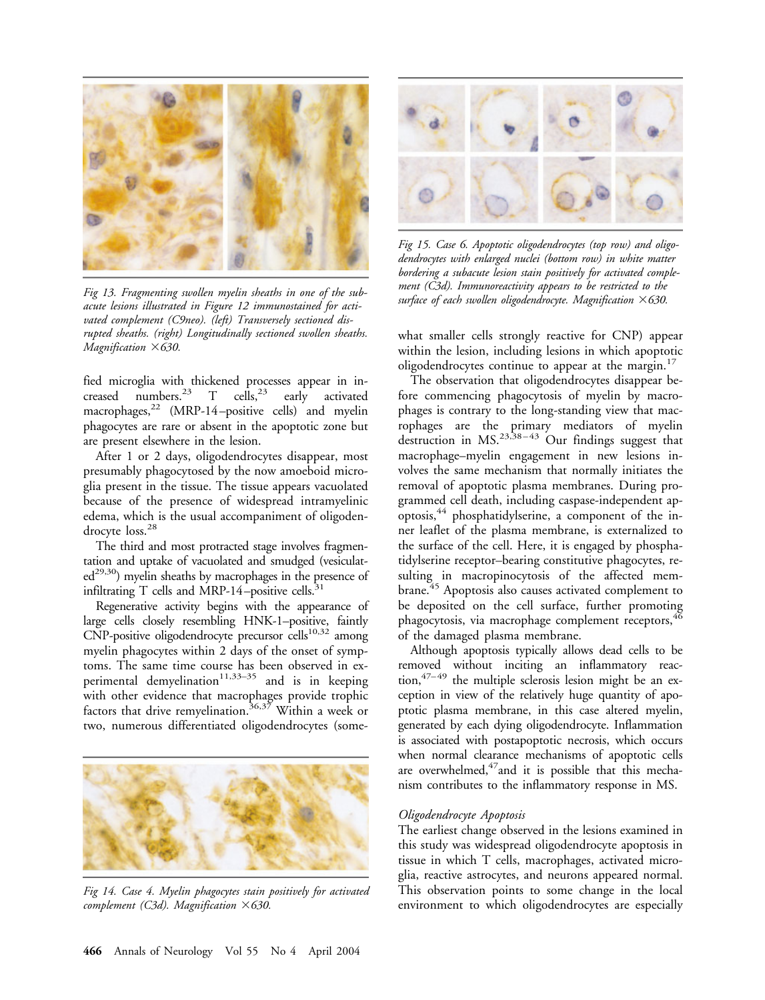

*Fig 13. Fragmenting swollen myelin sheaths in one of the subacute lesions illustrated in Figure 12 immunostained for activated complement (C9neo). (left) Transversely sectioned disrupted sheaths. (right) Longitudinally sectioned swollen sheaths. Magnification 630.*

fied microglia with thickened processes appear in in-<br>creased numbers.<sup>23</sup>  $\top$  cells,<sup>23</sup> early activated creased numbers.<sup>23</sup> T cells,<sup>23</sup> early activated macrophages,<sup>22</sup> (MRP-14-positive cells) and myelin phagocytes are rare or absent in the apoptotic zone but are present elsewhere in the lesion.

After 1 or 2 days, oligodendrocytes disappear, most presumably phagocytosed by the now amoeboid microglia present in the tissue. The tissue appears vacuolated because of the presence of widespread intramyelinic edema, which is the usual accompaniment of oligodendrocyte loss.<sup>28</sup>

The third and most protracted stage involves fragmentation and uptake of vacuolated and smudged (vesiculat $ed^{29,30}$ ) myelin sheaths by macrophages in the presence of infiltrating T cells and MRP-14-positive cells. $31$ 

Regenerative activity begins with the appearance of large cells closely resembling HNK-1–positive, faintly  $CNP$ -positive oligodendrocyte precursor cells<sup>10,32</sup> among myelin phagocytes within 2 days of the onset of symptoms. The same time course has been observed in experimental demyelination<sup>11,33–35</sup> and is in keeping with other evidence that macrophages provide trophic factors that drive remyelination.<sup>36,37</sup> Within a week or two, numerous differentiated oligodendrocytes (some-



*Fig 14. Case 4. Myelin phagocytes stain positively for activated complement (C3d). Magnification 630.*



*Fig 15. Case 6. Apoptotic oligodendrocytes (top row) and oligodendrocytes with enlarged nuclei (bottom row) in white matter bordering a subacute lesion stain positively for activated complement (C3d). Immunoreactivity appears to be restricted to the surface of each swollen oligodendrocyte. Magnification 630.*

what smaller cells strongly reactive for CNP) appear within the lesion, including lesions in which apoptotic oligodendrocytes continue to appear at the margin.<sup>17</sup>

The observation that oligodendrocytes disappear before commencing phagocytosis of myelin by macrophages is contrary to the long-standing view that macrophages are the primary mediators of myelin destruction in  $MS.^{23,38-43}$  Our findings suggest that macrophage–myelin engagement in new lesions involves the same mechanism that normally initiates the removal of apoptotic plasma membranes. During programmed cell death, including caspase-independent apoptosis,44 phosphatidylserine, a component of the inner leaflet of the plasma membrane, is externalized to the surface of the cell. Here, it is engaged by phosphatidylserine receptor–bearing constitutive phagocytes, resulting in macropinocytosis of the affected membrane.<sup>45</sup> Apoptosis also causes activated complement to be deposited on the cell surface, further promoting phagocytosis, via macrophage complement receptors,<sup>4</sup> of the damaged plasma membrane.

Although apoptosis typically allows dead cells to be removed without inciting an inflammatory reac- $\frac{47-49}{47-49}$  the multiple sclerosis lesion might be an exception in view of the relatively huge quantity of apoptotic plasma membrane, in this case altered myelin, generated by each dying oligodendrocyte. Inflammation is associated with postapoptotic necrosis, which occurs when normal clearance mechanisms of apoptotic cells are overwhelmed, $47$  and it is possible that this mechanism contributes to the inflammatory response in MS.

#### *Oligodendrocyte Apoptosis*

The earliest change observed in the lesions examined in this study was widespread oligodendrocyte apoptosis in tissue in which T cells, macrophages, activated microglia, reactive astrocytes, and neurons appeared normal. This observation points to some change in the local environment to which oligodendrocytes are especially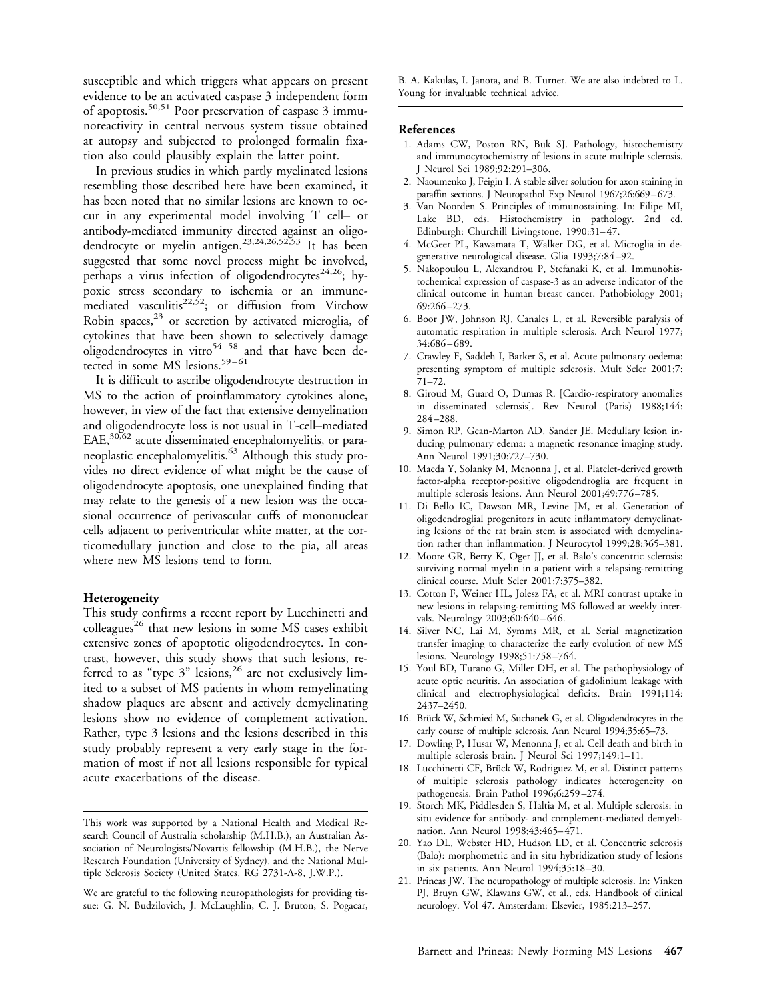susceptible and which triggers what appears on present evidence to be an activated caspase 3 independent form of apoptosis.<sup>50,51</sup> Poor preservation of caspase  $3 \text{ immu-}$ noreactivity in central nervous system tissue obtained at autopsy and subjected to prolonged formalin fixation also could plausibly explain the latter point.

In previous studies in which partly myelinated lesions resembling those described here have been examined, it has been noted that no similar lesions are known to occur in any experimental model involving T cell– or antibody-mediated immunity directed against an oligodendrocyte or myelin antigen.23,24,26,52,53 It has been suggested that some novel process might be involved, perhaps a virus infection of oligodendrocytes<sup>24,26</sup>; hypoxic stress secondary to ischemia or an immunemediated vasculitis<sup>22,52</sup>; or diffusion from Virchow Robin spaces, $23$  or secretion by activated microglia, of cytokines that have been shown to selectively damage oligodendrocytes in vitro $54-58$  and that have been detected in some MS lesions.<sup>59–61</sup>

It is difficult to ascribe oligodendrocyte destruction in MS to the action of proinflammatory cytokines alone, however, in view of the fact that extensive demyelination and oligodendrocyte loss is not usual in T-cell–mediated EAE,30,62 acute disseminated encephalomyelitis, or paraneoplastic encephalomyelitis.63 Although this study provides no direct evidence of what might be the cause of oligodendrocyte apoptosis, one unexplained finding that may relate to the genesis of a new lesion was the occasional occurrence of perivascular cuffs of mononuclear cells adjacent to periventricular white matter, at the corticomedullary junction and close to the pia, all areas where new MS lesions tend to form.

#### **Heterogeneity**

This study confirms a recent report by Lucchinetti and  $\text{colle}$ eagues<sup>26</sup> that new lesions in some MS cases exhibit extensive zones of apoptotic oligodendrocytes. In contrast, however, this study shows that such lesions, referred to as "type 3" lesions,<sup>26</sup> are not exclusively limited to a subset of MS patients in whom remyelinating shadow plaques are absent and actively demyelinating lesions show no evidence of complement activation. Rather, type 3 lesions and the lesions described in this study probably represent a very early stage in the formation of most if not all lesions responsible for typical acute exacerbations of the disease.

B. A. Kakulas, I. Janota, and B. Turner. We are also indebted to L. Young for invaluable technical advice.

#### **References**

- 1. Adams CW, Poston RN, Buk SJ. Pathology, histochemistry and immunocytochemistry of lesions in acute multiple sclerosis. J Neurol Sci 1989;92:291–306.
- 2. Naoumenko J, Feigin I. A stable silver solution for axon staining in paraffin sections. J Neuropathol Exp Neurol 1967;26:669-673.
- 3. Van Noorden S. Principles of immunostaining. In: Filipe MI, Lake BD, eds. Histochemistry in pathology. 2nd ed. Edinburgh: Churchill Livingstone, 1990:31-47.
- 4. McGeer PL, Kawamata T, Walker DG, et al. Microglia in degenerative neurological disease. Glia 1993;7:84 –92.
- 5. Nakopoulou L, Alexandrou P, Stefanaki K, et al. Immunohistochemical expression of caspase-3 as an adverse indicator of the clinical outcome in human breast cancer. Pathobiology 2001; 69:266 –273.
- 6. Boor JW, Johnson RJ, Canales L, et al. Reversible paralysis of automatic respiration in multiple sclerosis. Arch Neurol 1977; 34:686 – 689.
- 7. Crawley F, Saddeh I, Barker S, et al. Acute pulmonary oedema: presenting symptom of multiple sclerosis. Mult Scler 2001;7: 71–72.
- 8. Giroud M, Guard O, Dumas R. [Cardio-respiratory anomalies in disseminated sclerosis]. Rev Neurol (Paris) 1988;144: 284 –288.
- 9. Simon RP, Gean-Marton AD, Sander JE. Medullary lesion inducing pulmonary edema: a magnetic resonance imaging study. Ann Neurol 1991;30:727–730.
- 10. Maeda Y, Solanky M, Menonna J, et al. Platelet-derived growth factor-alpha receptor-positive oligodendroglia are frequent in multiple sclerosis lesions. Ann Neurol 2001;49:776 –785.
- 11. Di Bello IC, Dawson MR, Levine JM, et al. Generation of oligodendroglial progenitors in acute inflammatory demyelinating lesions of the rat brain stem is associated with demyelination rather than inflammation. J Neurocytol 1999;28:365–381.
- 12. Moore GR, Berry K, Oger JJ, et al. Balo's concentric sclerosis: surviving normal myelin in a patient with a relapsing-remitting clinical course. Mult Scler 2001;7:375–382.
- 13. Cotton F, Weiner HL, Jolesz FA, et al. MRI contrast uptake in new lesions in relapsing-remitting MS followed at weekly intervals. Neurology 2003;60:640-646.
- 14. Silver NC, Lai M, Symms MR, et al. Serial magnetization transfer imaging to characterize the early evolution of new MS lesions. Neurology 1998;51:758 –764.
- 15. Youl BD, Turano G, Miller DH, et al. The pathophysiology of acute optic neuritis. An association of gadolinium leakage with clinical and electrophysiological deficits. Brain 1991;114: 2437–2450.
- 16. Brück W, Schmied M, Suchanek G, et al. Oligodendrocytes in the early course of multiple sclerosis. Ann Neurol 1994;35:65–73.
- 17. Dowling P, Husar W, Menonna J, et al. Cell death and birth in multiple sclerosis brain. J Neurol Sci 1997;149:1–11.
- 18. Lucchinetti CF, Brück W, Rodriguez M, et al. Distinct patterns of multiple sclerosis pathology indicates heterogeneity on pathogenesis. Brain Pathol 1996;6:259 –274.
- 19. Storch MK, Piddlesden S, Haltia M, et al. Multiple sclerosis: in situ evidence for antibody- and complement-mediated demyelination. Ann Neurol 1998;43:465– 471.
- 20. Yao DL, Webster HD, Hudson LD, et al. Concentric sclerosis (Balo): morphometric and in situ hybridization study of lesions in six patients. Ann Neurol 1994;35:18 –30.
- 21. Prineas JW. The neuropathology of multiple sclerosis. In: Vinken PJ, Bruyn GW, Klawans GW, et al., eds. Handbook of clinical neurology. Vol 47. Amsterdam: Elsevier, 1985:213–257.

This work was supported by a National Health and Medical Research Council of Australia scholarship (M.H.B.), an Australian Association of Neurologists/Novartis fellowship (M.H.B.), the Nerve Research Foundation (University of Sydney), and the National Multiple Sclerosis Society (United States, RG 2731-A-8, J.W.P.).

We are grateful to the following neuropathologists for providing tissue: G. N. Budzilovich, J. McLaughlin, C. J. Bruton, S. Pogacar,